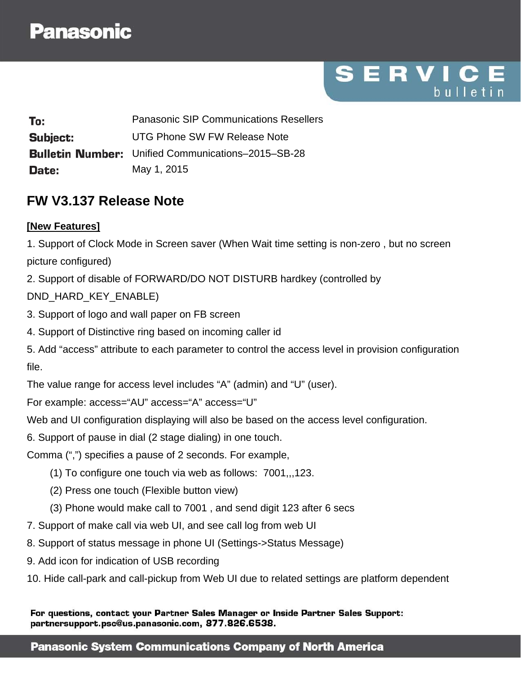SERVIC bulletin

Panasonic SIP Communications Resellers To: Subiect: UTG Phone SW FW Release Note **Bulletin Number:** Unified Communications–2015–SB-28 May 1, 2015 Date:

## **FW V3.137 Release Note**

#### **[New Features]**

1. Support of Clock Mode in Screen saver (When Wait time setting is non-zero , but no screen picture configured)

2. Support of disable of FORWARD/DO NOT DISTURB hardkey (controlled by

### DND\_HARD\_KEY\_ENABLE)

- 3. Support of logo and wall paper on FB screen
- 4. Support of Distinctive ring based on incoming caller id
- 5. Add "access" attribute to each parameter to control the access level in provision configuration file.

The value range for access level includes "A" (admin) and "U" (user).

For example: access="AU" access="A" access="U"

Web and UI configuration displaying will also be based on the access level configuration.

6. Support of pause in dial (2 stage dialing) in one touch.

Comma (",") specifies a pause of 2 seconds. For example,

- (1) To configure one touch via web as follows: 7001,,,123.
- (2) Press one touch (Flexible button view)
- (3) Phone would make call to 7001 , and send digit 123 after 6 secs
- 7. Support of make call via web UI, and see call log from web UI
- 8. Support of status message in phone UI (Settings->Status Message)
- 9. Add icon for indication of USB recording
- 10. Hide call-park and call-pickup from Web UI due to related settings are platform dependent

For questions, contact your Partner Sales Manager or Inside Partner Sales Support: partnersupport.psc@us.panasonic.com, 877.826.6538.

#### **Panasonic System Communications Company of North America**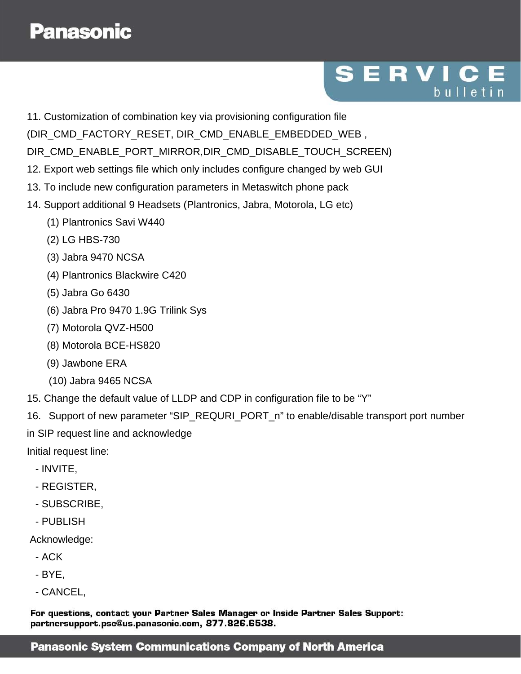# SERVIC bulletin

- 11. Customization of combination key via provisioning configuration file
- (DIR\_CMD\_FACTORY\_RESET, DIR\_CMD\_ENABLE\_EMBEDDED\_WEB ,

DIR\_CMD\_ENABLE\_PORT\_MIRROR,DIR\_CMD\_DISABLE\_TOUCH\_SCREEN)

- 12. Export web settings file which only includes configure changed by web GUI
- 13. To include new configuration parameters in Metaswitch phone pack
- 14. Support additional 9 Headsets (Plantronics, Jabra, Motorola, LG etc)
	- (1) Plantronics Savi W440
	- (2) LG HBS-730
	- (3) Jabra 9470 NCSA
	- (4) Plantronics Blackwire C420
	- (5) Jabra Go 6430
	- (6) Jabra Pro 9470 1.9G Trilink Sys
	- (7) Motorola QVZ-H500
	- (8) Motorola BCE-HS820
	- (9) Jawbone ERA
	- (10) Jabra 9465 NCSA
- 15. Change the default value of LLDP and CDP in configuration file to be "Y"
- 16. Support of new parameter "SIP\_REQURI\_PORT\_n" to enable/disable transport port number
- in SIP request line and acknowledge

Initial request line:

- INVITE,
- REGISTER,
- SUBSCRIBE,
- PUBLISH

Acknowledge:

- ACK
- BYE,
- CANCEL,

For questions, contact your Partner Sales Manager or Inside Partner Sales Support: partnersupport.psc@us.panasonic.com, 877.826.6538.

### **Panasonic System Communications Company of North America**